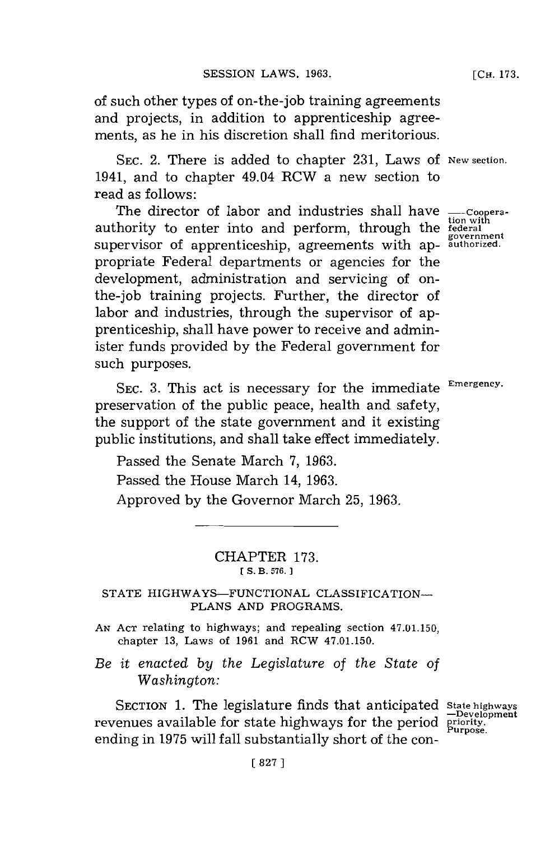of such other types of on-the-job training agreements and projects, in addition to apprenticeship agreements, as he in his discretion shall find meritorious.

**SEC.** 2. There is added to chapter **231,** Laws **of New section.** 1941, and to chapter 49.04 RCW a new section to read as follows:

The director of labor and industries shall have **---Cooperation with** authority to enter into and perform, through the **federal** supervisor of apprenticeship, agreements with appropriate Federal departments or agencies for the development, administration and servicing of onthe-job training projects. Further, the director of labor and industries, through the supervisor of apprenticeship, shall have power to receive and administer funds provided **by** the Federal government for such purposes.

**SEC. 3.** This act is necessary for the immediate **Emergency.** preservation of the public peace, health and safety, the support of the state government and it existing public institutions, and shall take effect immediately.

Passed the Senate March **7, 1963.**

Passed the House March 14, **1963.**

Approved **by** the Governor March **25, 1963.**

## CHAPTER **173. ES. B3. 576. 1**

## STATE HIGHWAYS-FUNCTIONAL CLASSIFICATION-**PLANS AND** PROGRAMS.

- **AN ACT** relating to highways; and repealing section 47.01.150, chapter **13,** Laws of **1961** and RCW 47.01.150.
- *Be it enacted by the Legislature of the State of Washington:*

SECTION 1. The legislature finds that anticipated State highways revenues available for state highways for the period priority. ending in 1975 will fall substantially short of the con-

**[CH. 173.**

**government**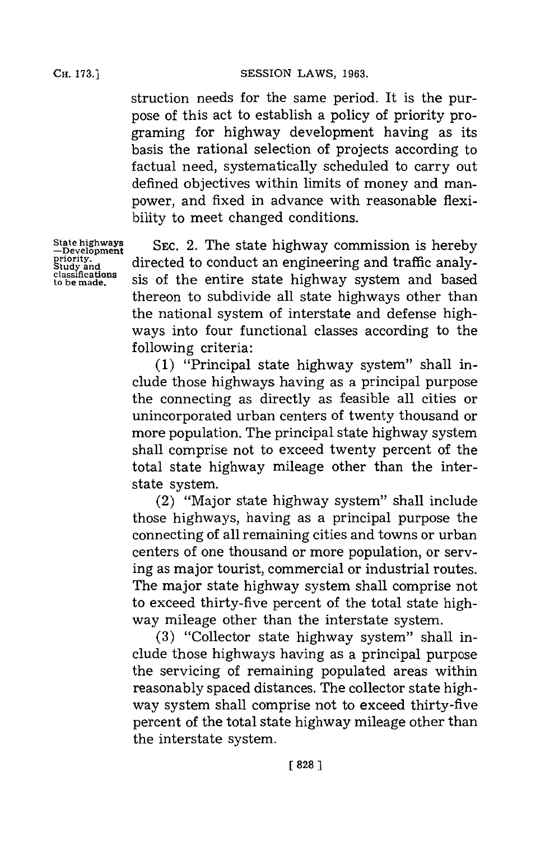CH. **73.]SESSION** LAWS, **1963.**

struction needs for the same period. It is the purpose of this act to establish a policy of priority programing for highway development having as its basis the rational selection of projects according to factual need, systematically scheduled to carry out defined objectives within limits of money and manpower, and fixed in advance with reasonable flexibility to meet changed conditions.

**State highways -Development priority. Study and classifications to be made.**

SEC. 2. The state highway commission is hereby directed to conduct an engineering and traffic analysis of the entire state highway system and based thereon to subdivide all state highways other than the national system of interstate and defense highways into four functional classes according to the **f** ollowing criteria:

**(1)** "Principal state highway system" shall include those highways having as a principal purpose the connecting as directly as feasible all cities or unincorporated urban centers of twenty thousand or more population. The principal state highway system shall comprise not to exceed twenty percent of the total state highway mileage other than the interstate system.

(2) "Major state highway system" shall include those highways, having as a principal purpose the connecting of all remaining cities and towns or urban centers of one thousand or more population, or serving as major tourist, commercial or industrial routes. The major state highway system shall comprise not to exceed thirty-five percent of the total state highway mileage other than the interstate system.

**(3)** "Collector state highway system" shall include those highways having as a principal purpose the servicing of remaining populated areas within reasonably spaced distances. The collector state highway system shall comprise not to exceed thirty-five percent of the total state highway mileage other than the interstate system.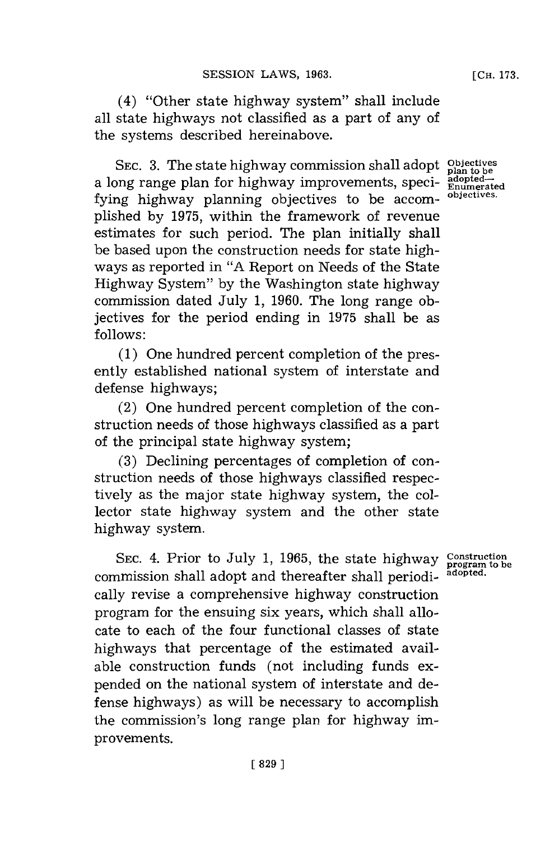(4) "Other state highway system" shall include all state highways not classified as a part of any of the systems described hereinabove.

SEC. 3. The state highway commission shall adopt objectives a long range plan for highway improvements, specifying highway planning objectives to be accomplished **by 1975,** within the framework of revenue estimates for such period. The plan initially shall be based upon the construction needs for state highways as reported in **"A** Report on Needs of the State Highway System" **by** the Washington state highway commission dated July **1, 1960.** The long range objectives for the period ending in **1975** shall be as **follows:**

**(1)** One hundred percent completion of the presently established national system of interstate and defense highways;

(2) One hundred percent completion of the construction needs of those highways classified as a part of the principal state highway system;

**(3)** Declining percentages of completion of construction needs of those highways classified respectively as the major state highway system, the collector state highway system and the other state highway system.

**SEC.** 4. Prior to July **1, 1965,** the state highway commission shall adopt and thereafter shall periodically revise a comprehensive highway construction program for the ensuing six years, which shall allocate to each of the four functional classes of state highways that percentage of the estimated available construction funds (not including funds expended on the national system of interstate and defense highways) as will be necessary to accomplish the commission's long range plan for highway improvements.

**Construction program to be adopted.**

**plan to be**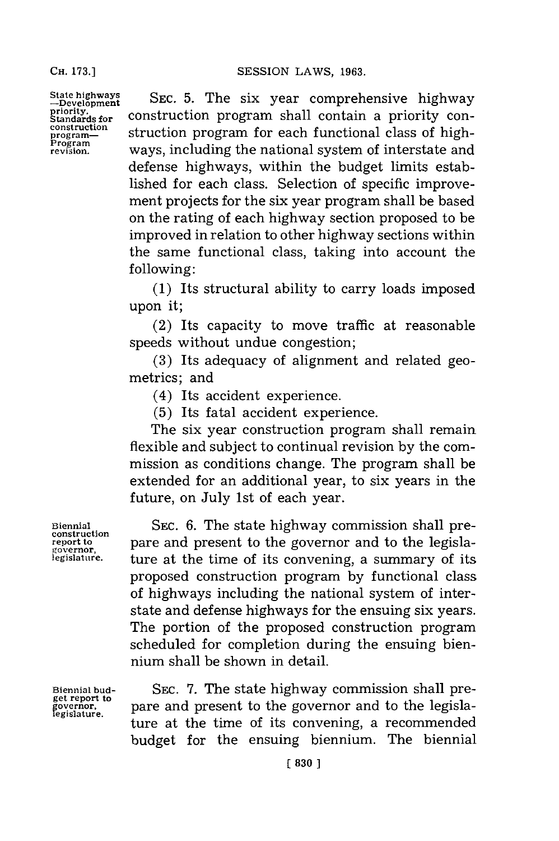SESSION LAWS, 1963.

**State highways -Development** priority.<br>Standards for **construction program-Program revision.**

**SEC. 5.** The six year comprehensive highway construction program shall contain a priority construction program for each functional class of highways, including the national system of interstate and defense highways, within the budget limits established for each class. Selection of specific improvement projects for the six year program shall be based on the rating of each highway section proposed to be improved in relation to other highway sections within the same functional class, taking into account the **f** ollowing:

**(1)** Its structural ability to carry loads imposed upon it;

(2) Its capacity to move traffic at reasonable speeds without undue congestion;

**(3)** Its adequacy of alignment and related geometrics; and

(4) Its accident experience.

**(5)** Its fatal accident experience.

The six year construction program shall remain flexible and subject to continual revision **by** the commission as conditions change. The program shall be extended for an additional year, to six years in the future, on July 1st of each year.

SEC. **6.** The state highway commission shall prepare and present to the governor and to the legislature at the time of its convening, a summary of its proposed construction program **by** functional class of highways including the national system of interstate and defense highways for the ensuing six years. The portion of the proposed construction program scheduled for completion during the ensuing biennium shall be shown in detail.

**Biennial budget report to governor. legislature.**

**SEC. 7.** The state highway commission shall prepare and present to the governor and to the legislature at the time of its convening, a recommended budget for the ensuing biennium. The biennial

**Biennial**